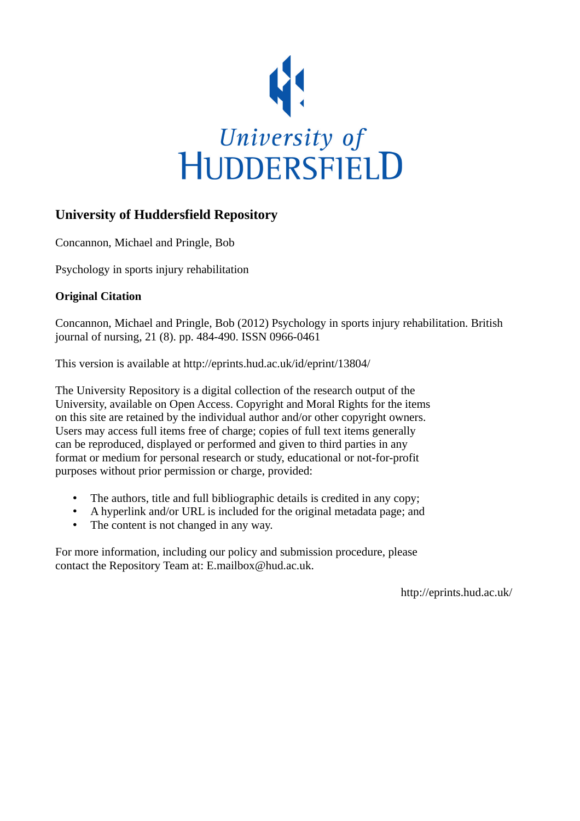

# **University of Huddersfield Repository**

Concannon, Michael and Pringle, Bob

Psychology in sports injury rehabilitation

### **Original Citation**

Concannon, Michael and Pringle, Bob (2012) Psychology in sports injury rehabilitation. British journal of nursing, 21 (8). pp. 484-490. ISSN 0966-0461

This version is available at http://eprints.hud.ac.uk/id/eprint/13804/

The University Repository is a digital collection of the research output of the University, available on Open Access. Copyright and Moral Rights for the items on this site are retained by the individual author and/or other copyright owners. Users may access full items free of charge; copies of full text items generally can be reproduced, displayed or performed and given to third parties in any format or medium for personal research or study, educational or not-for-profit purposes without prior permission or charge, provided:

- The authors, title and full bibliographic details is credited in any copy;
- A hyperlink and/or URL is included for the original metadata page; and
- The content is not changed in any way.

For more information, including our policy and submission procedure, please contact the Repository Team at: E.mailbox@hud.ac.uk.

http://eprints.hud.ac.uk/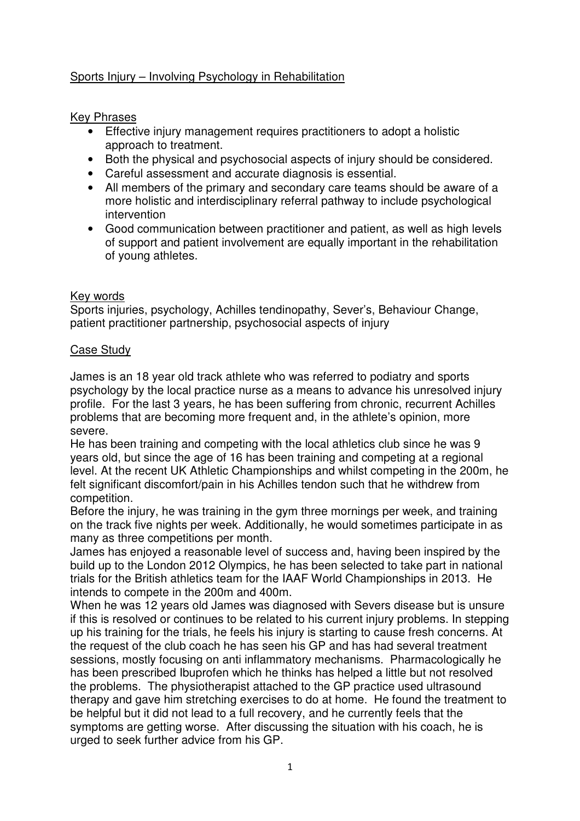## Sports Injury – Involving Psychology in Rehabilitation

Key Phrases

- Effective injury management requires practitioners to adopt a holistic approach to treatment.
- Both the physical and psychosocial aspects of injury should be considered.
- Careful assessment and accurate diagnosis is essential.
- All members of the primary and secondary care teams should be aware of a more holistic and interdisciplinary referral pathway to include psychological intervention
- Good communication between practitioner and patient, as well as high levels of support and patient involvement are equally important in the rehabilitation of young athletes.

### Key words

Sports injuries, psychology, Achilles tendinopathy, Sever's, Behaviour Change, patient practitioner partnership, psychosocial aspects of injury

### Case Study

James is an 18 year old track athlete who was referred to podiatry and sports psychology by the local practice nurse as a means to advance his unresolved injury profile. For the last 3 years, he has been suffering from chronic, recurrent Achilles problems that are becoming more frequent and, in the athlete's opinion, more severe.

He has been training and competing with the local athletics club since he was 9 years old, but since the age of 16 has been training and competing at a regional level. At the recent UK Athletic Championships and whilst competing in the 200m, he felt significant discomfort/pain in his Achilles tendon such that he withdrew from competition.

Before the injury, he was training in the gym three mornings per week, and training on the track five nights per week. Additionally, he would sometimes participate in as many as three competitions per month.

James has enjoyed a reasonable level of success and, having been inspired by the build up to the London 2012 Olympics, he has been selected to take part in national trials for the British athletics team for the IAAF World Championships in 2013. He intends to compete in the 200m and 400m.

When he was 12 years old James was diagnosed with Severs disease but is unsure if this is resolved or continues to be related to his current injury problems. In stepping up his training for the trials, he feels his injury is starting to cause fresh concerns. At the request of the club coach he has seen his GP and has had several treatment sessions, mostly focusing on anti inflammatory mechanisms. Pharmacologically he has been prescribed Ibuprofen which he thinks has helped a little but not resolved the problems. The physiotherapist attached to the GP practice used ultrasound therapy and gave him stretching exercises to do at home. He found the treatment to be helpful but it did not lead to a full recovery, and he currently feels that the symptoms are getting worse. After discussing the situation with his coach, he is urged to seek further advice from his GP.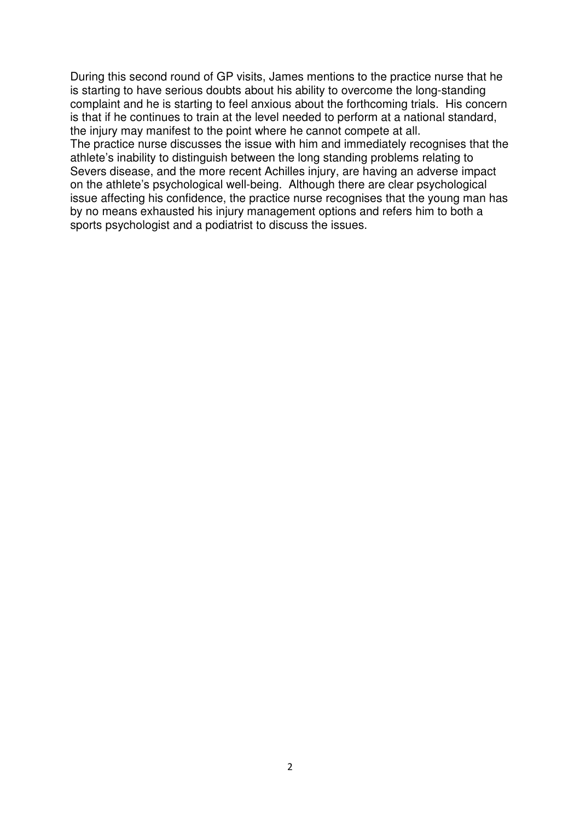During this second round of GP visits, James mentions to the practice nurse that he is starting to have serious doubts about his ability to overcome the long-standing complaint and he is starting to feel anxious about the forthcoming trials. His concern is that if he continues to train at the level needed to perform at a national standard, the injury may manifest to the point where he cannot compete at all.

The practice nurse discusses the issue with him and immediately recognises that the athlete's inability to distinguish between the long standing problems relating to Severs disease, and the more recent Achilles injury, are having an adverse impact on the athlete's psychological well-being. Although there are clear psychological issue affecting his confidence, the practice nurse recognises that the young man has by no means exhausted his injury management options and refers him to both a sports psychologist and a podiatrist to discuss the issues.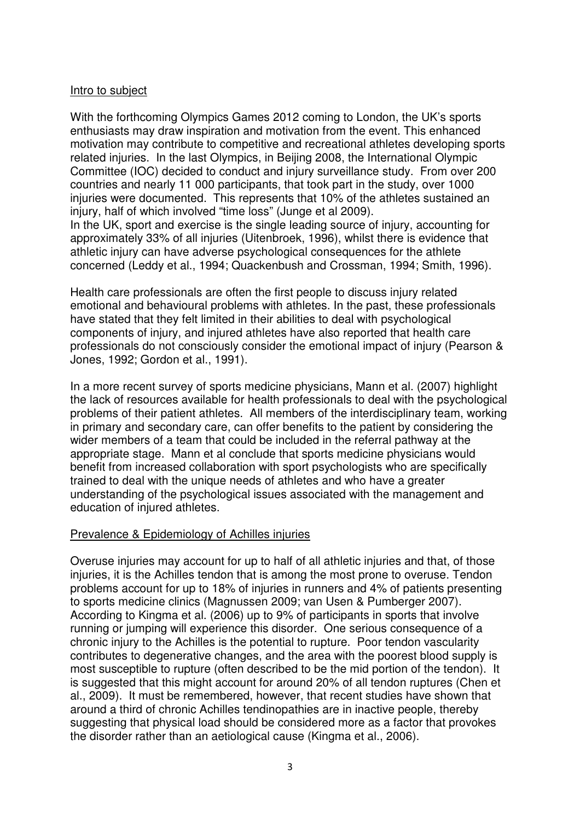#### Intro to subject

With the forthcoming Olympics Games 2012 coming to London, the UK's sports enthusiasts may draw inspiration and motivation from the event. This enhanced motivation may contribute to competitive and recreational athletes developing sports related injuries. In the last Olympics, in Beijing 2008, the International Olympic Committee (IOC) decided to conduct and injury surveillance study. From over 200 countries and nearly 11 000 participants, that took part in the study, over 1000 injuries were documented. This represents that 10% of the athletes sustained an injury, half of which involved "time loss" (Junge et al 2009). In the UK, sport and exercise is the single leading source of injury, accounting for approximately 33% of all injuries (Uitenbroek, 1996), whilst there is evidence that

athletic injury can have adverse psychological consequences for the athlete concerned (Leddy et al., 1994; Quackenbush and Crossman, 1994; Smith, 1996).

Health care professionals are often the first people to discuss injury related emotional and behavioural problems with athletes. In the past, these professionals have stated that they felt limited in their abilities to deal with psychological components of injury, and injured athletes have also reported that health care professionals do not consciously consider the emotional impact of injury (Pearson & Jones, 1992; Gordon et al., 1991).

In a more recent survey of sports medicine physicians, Mann et al. (2007) highlight the lack of resources available for health professionals to deal with the psychological problems of their patient athletes. All members of the interdisciplinary team, working in primary and secondary care, can offer benefits to the patient by considering the wider members of a team that could be included in the referral pathway at the appropriate stage. Mann et al conclude that sports medicine physicians would benefit from increased collaboration with sport psychologists who are specifically trained to deal with the unique needs of athletes and who have a greater understanding of the psychological issues associated with the management and education of injured athletes.

#### Prevalence & Epidemiology of Achilles injuries

Overuse injuries may account for up to half of all athletic injuries and that, of those injuries, it is the Achilles tendon that is among the most prone to overuse. Tendon problems account for up to 18% of injuries in runners and 4% of patients presenting to sports medicine clinics (Magnussen 2009; van Usen & Pumberger 2007). According to Kingma et al. (2006) up to 9% of participants in sports that involve running or jumping will experience this disorder. One serious consequence of a chronic injury to the Achilles is the potential to rupture. Poor tendon vascularity contributes to degenerative changes, and the area with the poorest blood supply is most susceptible to rupture (often described to be the mid portion of the tendon). It is suggested that this might account for around 20% of all tendon ruptures (Chen et al., 2009). It must be remembered, however, that recent studies have shown that around a third of chronic Achilles tendinopathies are in inactive people, thereby suggesting that physical load should be considered more as a factor that provokes the disorder rather than an aetiological cause (Kingma et al., 2006).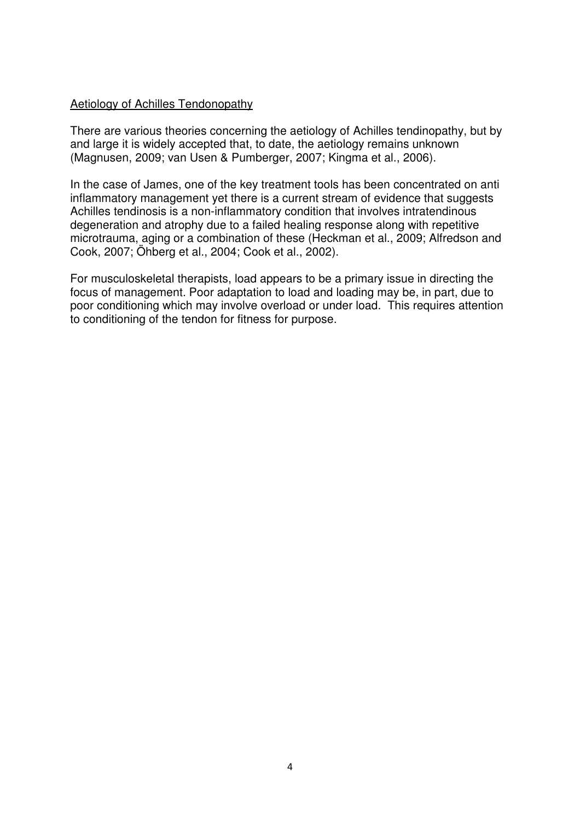#### Aetiology of Achilles Tendonopathy

There are various theories concerning the aetiology of Achilles tendinopathy, but by and large it is widely accepted that, to date, the aetiology remains unknown (Magnusen, 2009; van Usen & Pumberger, 2007; Kingma et al., 2006).

In the case of James, one of the key treatment tools has been concentrated on anti inflammatory management yet there is a current stream of evidence that suggests Achilles tendinosis is a non-inflammatory condition that involves intratendinous degeneration and atrophy due to a failed healing response along with repetitive microtrauma, aging or a combination of these (Heckman et al., 2009; Alfredson and Cook, 2007; Öhberg et al., 2004; Cook et al., 2002).

For musculoskeletal therapists, load appears to be a primary issue in directing the focus of management. Poor adaptation to load and loading may be, in part, due to poor conditioning which may involve overload or under load. This requires attention to conditioning of the tendon for fitness for purpose.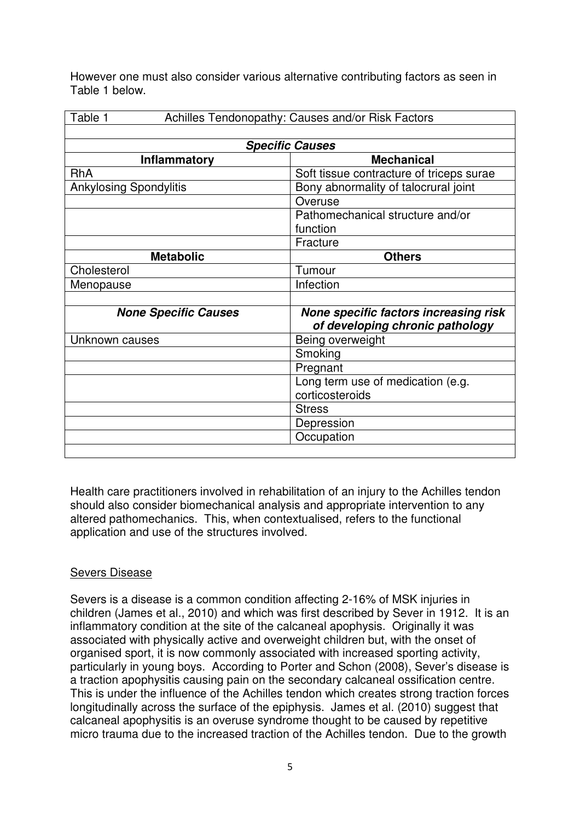However one must also consider various alternative contributing factors as seen in Table 1 below.

| Table 1<br>Achilles Tendonopathy: Causes and/or Risk Factors |                                          |
|--------------------------------------------------------------|------------------------------------------|
|                                                              |                                          |
| <b>Specific Causes</b>                                       |                                          |
| Inflammatory                                                 | <b>Mechanical</b>                        |
| <b>RhA</b>                                                   | Soft tissue contracture of triceps surae |
| <b>Ankylosing Spondylitis</b>                                | Bony abnormality of talocrural joint     |
|                                                              | Overuse                                  |
|                                                              | Pathomechanical structure and/or         |
|                                                              | function                                 |
|                                                              | Fracture                                 |
| <b>Metabolic</b>                                             | <b>Others</b>                            |
| Cholesterol                                                  | Tumour                                   |
| Menopause                                                    | Infection                                |
|                                                              |                                          |
| <b>None Specific Causes</b>                                  | None specific factors increasing risk    |
|                                                              | of developing chronic pathology          |
| Unknown causes                                               | Being overweight                         |
|                                                              | Smoking                                  |
|                                                              | Pregnant                                 |
|                                                              | Long term use of medication (e.g.        |
|                                                              | corticosteroids                          |
|                                                              | <b>Stress</b>                            |
|                                                              | Depression                               |
|                                                              | Occupation                               |
|                                                              |                                          |

Health care practitioners involved in rehabilitation of an injury to the Achilles tendon should also consider biomechanical analysis and appropriate intervention to any altered pathomechanics. This, when contextualised, refers to the functional application and use of the structures involved.

## Severs Disease

Severs is a disease is a common condition affecting 2-16% of MSK injuries in children (James et al., 2010) and which was first described by Sever in 1912. It is an inflammatory condition at the site of the calcaneal apophysis. Originally it was associated with physically active and overweight children but, with the onset of organised sport, it is now commonly associated with increased sporting activity, particularly in young boys. According to Porter and Schon (2008), Sever's disease is a traction apophysitis causing pain on the secondary calcaneal ossification centre. This is under the influence of the Achilles tendon which creates strong traction forces longitudinally across the surface of the epiphysis. James et al. (2010) suggest that calcaneal apophysitis is an overuse syndrome thought to be caused by repetitive micro trauma due to the increased traction of the Achilles tendon. Due to the growth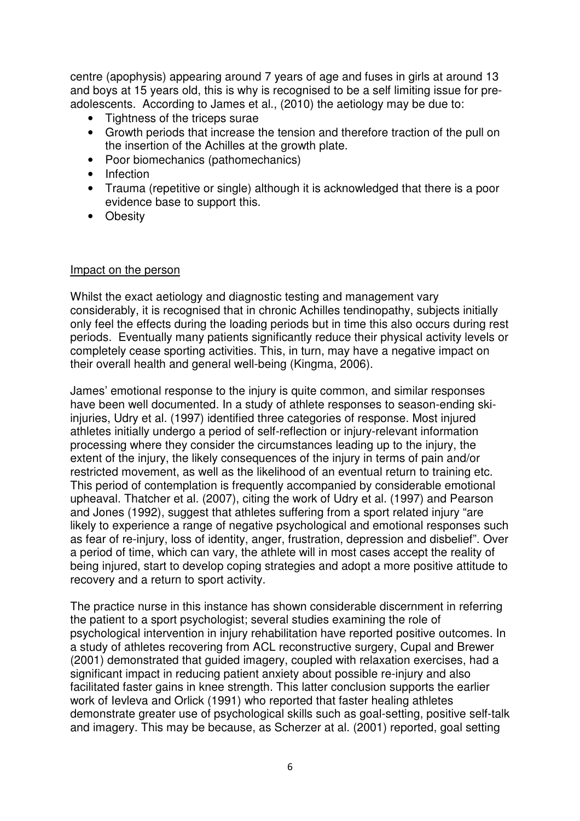centre (apophysis) appearing around 7 years of age and fuses in girls at around 13 and boys at 15 years old, this is why is recognised to be a self limiting issue for preadolescents. According to James et al., (2010) the aetiology may be due to:

- Tightness of the triceps surae
- Growth periods that increase the tension and therefore traction of the pull on the insertion of the Achilles at the growth plate.
- Poor biomechanics (pathomechanics)
- Infection
- Trauma (repetitive or single) although it is acknowledged that there is a poor evidence base to support this.
- Obesity

#### Impact on the person

Whilst the exact aetiology and diagnostic testing and management vary considerably, it is recognised that in chronic Achilles tendinopathy, subjects initially only feel the effects during the loading periods but in time this also occurs during rest periods. Eventually many patients significantly reduce their physical activity levels or completely cease sporting activities. This, in turn, may have a negative impact on their overall health and general well-being (Kingma, 2006).

James' emotional response to the injury is quite common, and similar responses have been well documented. In a study of athlete responses to season-ending skiinjuries, Udry et al. (1997) identified three categories of response. Most injured athletes initially undergo a period of self-reflection or injury-relevant information processing where they consider the circumstances leading up to the injury, the extent of the injury, the likely consequences of the injury in terms of pain and/or restricted movement, as well as the likelihood of an eventual return to training etc. This period of contemplation is frequently accompanied by considerable emotional upheaval. Thatcher et al. (2007), citing the work of Udry et al. (1997) and Pearson and Jones (1992), suggest that athletes suffering from a sport related injury "are likely to experience a range of negative psychological and emotional responses such as fear of re-injury, loss of identity, anger, frustration, depression and disbelief". Over a period of time, which can vary, the athlete will in most cases accept the reality of being injured, start to develop coping strategies and adopt a more positive attitude to recovery and a return to sport activity.

The practice nurse in this instance has shown considerable discernment in referring the patient to a sport psychologist; several studies examining the role of psychological intervention in injury rehabilitation have reported positive outcomes. In a study of athletes recovering from ACL reconstructive surgery, Cupal and Brewer (2001) demonstrated that guided imagery, coupled with relaxation exercises, had a significant impact in reducing patient anxiety about possible re-injury and also facilitated faster gains in knee strength. This latter conclusion supports the earlier work of Ievleva and Orlick (1991) who reported that faster healing athletes demonstrate greater use of psychological skills such as goal-setting, positive self-talk and imagery. This may be because, as Scherzer at al. (2001) reported, goal setting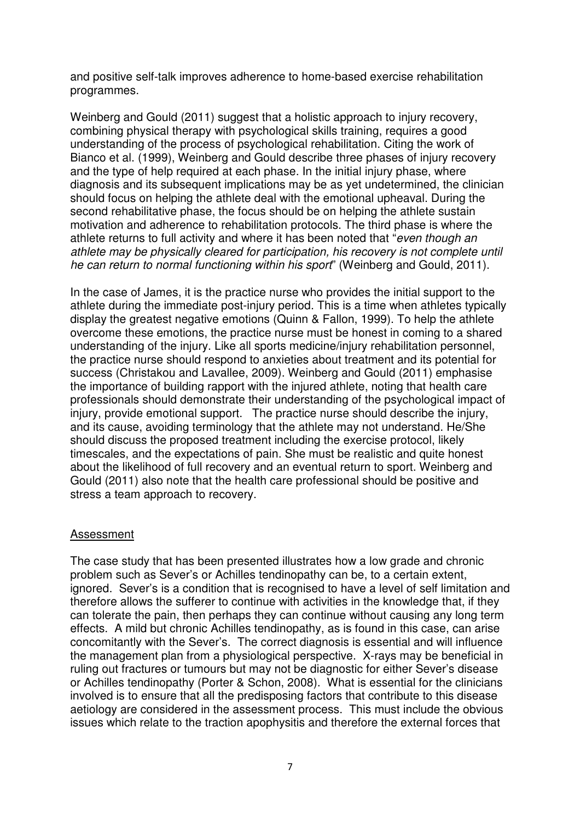and positive self-talk improves adherence to home-based exercise rehabilitation programmes.

Weinberg and Gould (2011) suggest that a holistic approach to injury recovery, combining physical therapy with psychological skills training, requires a good understanding of the process of psychological rehabilitation. Citing the work of Bianco et al. (1999), Weinberg and Gould describe three phases of injury recovery and the type of help required at each phase. In the initial injury phase, where diagnosis and its subsequent implications may be as yet undetermined, the clinician should focus on helping the athlete deal with the emotional upheaval. During the second rehabilitative phase, the focus should be on helping the athlete sustain motivation and adherence to rehabilitation protocols. The third phase is where the athlete returns to full activity and where it has been noted that "even though an athlete may be physically cleared for participation, his recovery is not complete until he can return to normal functioning within his sport" (Weinberg and Gould, 2011).

In the case of James, it is the practice nurse who provides the initial support to the athlete during the immediate post-injury period. This is a time when athletes typically display the greatest negative emotions (Quinn & Fallon, 1999). To help the athlete overcome these emotions, the practice nurse must be honest in coming to a shared understanding of the injury. Like all sports medicine/injury rehabilitation personnel, the practice nurse should respond to anxieties about treatment and its potential for success (Christakou and Lavallee, 2009). Weinberg and Gould (2011) emphasise the importance of building rapport with the injured athlete, noting that health care professionals should demonstrate their understanding of the psychological impact of injury, provide emotional support. The practice nurse should describe the injury, and its cause, avoiding terminology that the athlete may not understand. He/She should discuss the proposed treatment including the exercise protocol, likely timescales, and the expectations of pain. She must be realistic and quite honest about the likelihood of full recovery and an eventual return to sport. Weinberg and Gould (2011) also note that the health care professional should be positive and stress a team approach to recovery.

#### Assessment

The case study that has been presented illustrates how a low grade and chronic problem such as Sever's or Achilles tendinopathy can be, to a certain extent, ignored. Sever's is a condition that is recognised to have a level of self limitation and therefore allows the sufferer to continue with activities in the knowledge that, if they can tolerate the pain, then perhaps they can continue without causing any long term effects. A mild but chronic Achilles tendinopathy, as is found in this case, can arise concomitantly with the Sever's. The correct diagnosis is essential and will influence the management plan from a physiological perspective. X-rays may be beneficial in ruling out fractures or tumours but may not be diagnostic for either Sever's disease or Achilles tendinopathy (Porter & Schon, 2008). What is essential for the clinicians involved is to ensure that all the predisposing factors that contribute to this disease aetiology are considered in the assessment process. This must include the obvious issues which relate to the traction apophysitis and therefore the external forces that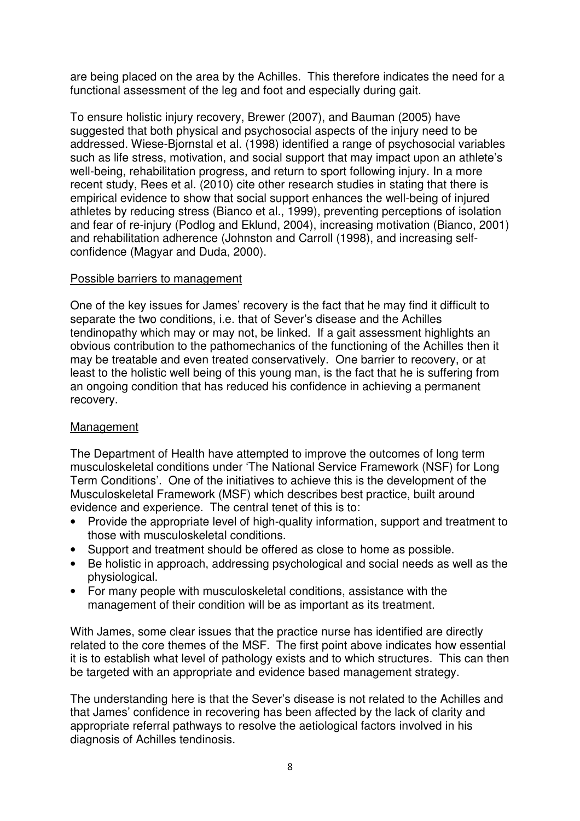are being placed on the area by the Achilles. This therefore indicates the need for a functional assessment of the leg and foot and especially during gait.

To ensure holistic injury recovery, Brewer (2007), and Bauman (2005) have suggested that both physical and psychosocial aspects of the injury need to be addressed. Wiese-Bjornstal et al. (1998) identified a range of psychosocial variables such as life stress, motivation, and social support that may impact upon an athlete's well-being, rehabilitation progress, and return to sport following injury. In a more recent study, Rees et al. (2010) cite other research studies in stating that there is empirical evidence to show that social support enhances the well-being of injured athletes by reducing stress (Bianco et al., 1999), preventing perceptions of isolation and fear of re-injury (Podlog and Eklund, 2004), increasing motivation (Bianco, 2001) and rehabilitation adherence (Johnston and Carroll (1998), and increasing selfconfidence (Magyar and Duda, 2000).

### Possible barriers to management

One of the key issues for James' recovery is the fact that he may find it difficult to separate the two conditions, i.e. that of Sever's disease and the Achilles tendinopathy which may or may not, be linked. If a gait assessment highlights an obvious contribution to the pathomechanics of the functioning of the Achilles then it may be treatable and even treated conservatively. One barrier to recovery, or at least to the holistic well being of this young man, is the fact that he is suffering from an ongoing condition that has reduced his confidence in achieving a permanent recovery.

## Management

The Department of Health have attempted to improve the outcomes of long term musculoskeletal conditions under 'The National Service Framework (NSF) for Long Term Conditions'. One of the initiatives to achieve this is the development of the Musculoskeletal Framework (MSF) which describes best practice, built around evidence and experience. The central tenet of this is to:

- Provide the appropriate level of high-quality information, support and treatment to those with musculoskeletal conditions.
- Support and treatment should be offered as close to home as possible.
- Be holistic in approach, addressing psychological and social needs as well as the physiological.
- For many people with musculoskeletal conditions, assistance with the management of their condition will be as important as its treatment.

With James, some clear issues that the practice nurse has identified are directly related to the core themes of the MSF. The first point above indicates how essential it is to establish what level of pathology exists and to which structures. This can then be targeted with an appropriate and evidence based management strategy.

The understanding here is that the Sever's disease is not related to the Achilles and that James' confidence in recovering has been affected by the lack of clarity and appropriate referral pathways to resolve the aetiological factors involved in his diagnosis of Achilles tendinosis.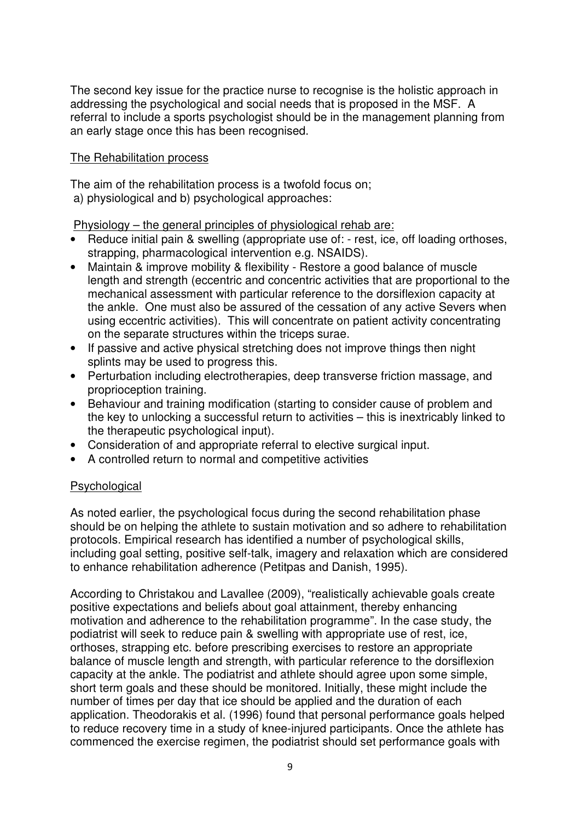The second key issue for the practice nurse to recognise is the holistic approach in addressing the psychological and social needs that is proposed in the MSF. A referral to include a sports psychologist should be in the management planning from an early stage once this has been recognised.

### The Rehabilitation process

The aim of the rehabilitation process is a twofold focus on; a) physiological and b) psychological approaches:

Physiology – the general principles of physiological rehab are:

- Reduce initial pain & swelling (appropriate use of: rest, ice, off loading orthoses, strapping, pharmacological intervention e.g. NSAIDS).
- Maintain & improve mobility & flexibility Restore a good balance of muscle length and strength (eccentric and concentric activities that are proportional to the mechanical assessment with particular reference to the dorsiflexion capacity at the ankle. One must also be assured of the cessation of any active Severs when using eccentric activities). This will concentrate on patient activity concentrating on the separate structures within the triceps surae.
- If passive and active physical stretching does not improve things then night splints may be used to progress this.
- Perturbation including electrotherapies, deep transverse friction massage, and proprioception training.
- Behaviour and training modification (starting to consider cause of problem and the key to unlocking a successful return to activities – this is inextricably linked to the therapeutic psychological input).
- Consideration of and appropriate referral to elective surgical input.
- A controlled return to normal and competitive activities

## Psychological

As noted earlier, the psychological focus during the second rehabilitation phase should be on helping the athlete to sustain motivation and so adhere to rehabilitation protocols. Empirical research has identified a number of psychological skills, including goal setting, positive self-talk, imagery and relaxation which are considered to enhance rehabilitation adherence (Petitpas and Danish, 1995).

According to Christakou and Lavallee (2009), "realistically achievable goals create positive expectations and beliefs about goal attainment, thereby enhancing motivation and adherence to the rehabilitation programme". In the case study, the podiatrist will seek to reduce pain & swelling with appropriate use of rest, ice, orthoses, strapping etc. before prescribing exercises to restore an appropriate balance of muscle length and strength, with particular reference to the dorsiflexion capacity at the ankle. The podiatrist and athlete should agree upon some simple, short term goals and these should be monitored. Initially, these might include the number of times per day that ice should be applied and the duration of each application. Theodorakis et al. (1996) found that personal performance goals helped to reduce recovery time in a study of knee-injured participants. Once the athlete has commenced the exercise regimen, the podiatrist should set performance goals with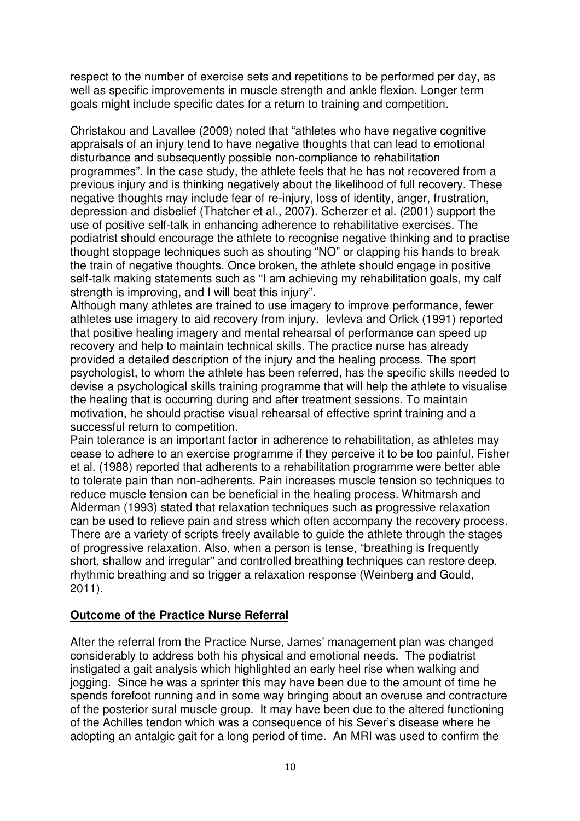respect to the number of exercise sets and repetitions to be performed per day, as well as specific improvements in muscle strength and ankle flexion. Longer term goals might include specific dates for a return to training and competition.

Christakou and Lavallee (2009) noted that "athletes who have negative cognitive appraisals of an injury tend to have negative thoughts that can lead to emotional disturbance and subsequently possible non-compliance to rehabilitation programmes". In the case study, the athlete feels that he has not recovered from a previous injury and is thinking negatively about the likelihood of full recovery. These negative thoughts may include fear of re-injury, loss of identity, anger, frustration, depression and disbelief (Thatcher et al., 2007). Scherzer et al. (2001) support the use of positive self-talk in enhancing adherence to rehabilitative exercises. The podiatrist should encourage the athlete to recognise negative thinking and to practise thought stoppage techniques such as shouting "NO" or clapping his hands to break the train of negative thoughts. Once broken, the athlete should engage in positive self-talk making statements such as "I am achieving my rehabilitation goals, my calf strength is improving, and I will beat this injury".

Although many athletes are trained to use imagery to improve performance, fewer athletes use imagery to aid recovery from injury. Ievleva and Orlick (1991) reported that positive healing imagery and mental rehearsal of performance can speed up recovery and help to maintain technical skills. The practice nurse has already provided a detailed description of the injury and the healing process. The sport psychologist, to whom the athlete has been referred, has the specific skills needed to devise a psychological skills training programme that will help the athlete to visualise the healing that is occurring during and after treatment sessions. To maintain motivation, he should practise visual rehearsal of effective sprint training and a successful return to competition.

Pain tolerance is an important factor in adherence to rehabilitation, as athletes may cease to adhere to an exercise programme if they perceive it to be too painful. Fisher et al. (1988) reported that adherents to a rehabilitation programme were better able to tolerate pain than non-adherents. Pain increases muscle tension so techniques to reduce muscle tension can be beneficial in the healing process. Whitmarsh and Alderman (1993) stated that relaxation techniques such as progressive relaxation can be used to relieve pain and stress which often accompany the recovery process. There are a variety of scripts freely available to guide the athlete through the stages of progressive relaxation. Also, when a person is tense, "breathing is frequently short, shallow and irregular" and controlled breathing techniques can restore deep, rhythmic breathing and so trigger a relaxation response (Weinberg and Gould, 2011).

## **Outcome of the Practice Nurse Referral**

After the referral from the Practice Nurse, James' management plan was changed considerably to address both his physical and emotional needs. The podiatrist instigated a gait analysis which highlighted an early heel rise when walking and jogging. Since he was a sprinter this may have been due to the amount of time he spends forefoot running and in some way bringing about an overuse and contracture of the posterior sural muscle group. It may have been due to the altered functioning of the Achilles tendon which was a consequence of his Sever's disease where he adopting an antalgic gait for a long period of time. An MRI was used to confirm the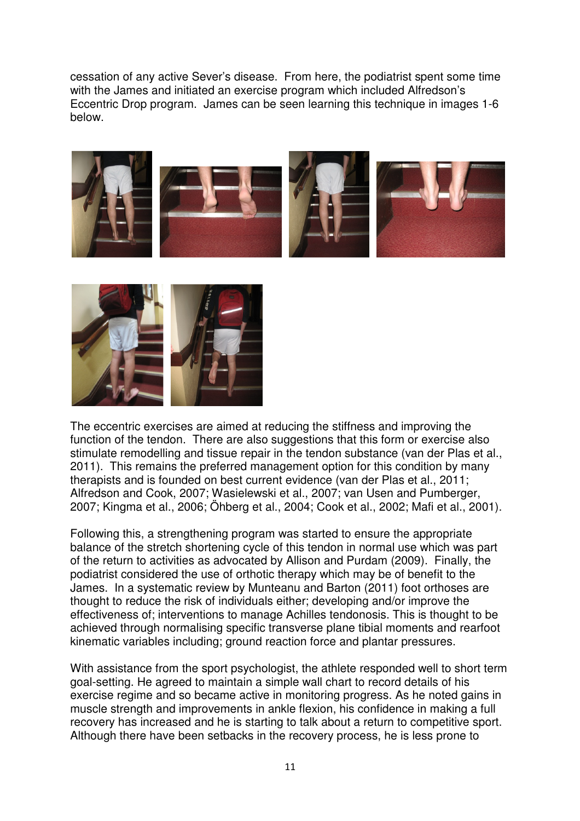cessation of any active Sever's disease. From here, the podiatrist spent some time with the James and initiated an exercise program which included Alfredson's Eccentric Drop program. James can be seen learning this technique in images 1-6 below.





The eccentric exercises are aimed at reducing the stiffness and improving the function of the tendon. There are also suggestions that this form or exercise also stimulate remodelling and tissue repair in the tendon substance (van der Plas et al., 2011). This remains the preferred management option for this condition by many therapists and is founded on best current evidence (van der Plas et al., 2011; Alfredson and Cook, 2007; Wasielewski et al., 2007; van Usen and Pumberger, 2007; Kingma et al., 2006; Öhberg et al., 2004; Cook et al., 2002; Mafi et al., 2001).

Following this, a strengthening program was started to ensure the appropriate balance of the stretch shortening cycle of this tendon in normal use which was part of the return to activities as advocated by Allison and Purdam (2009). Finally, the podiatrist considered the use of orthotic therapy which may be of benefit to the James. In a systematic review by Munteanu and Barton (2011) foot orthoses are thought to reduce the risk of individuals either; developing and/or improve the effectiveness of; interventions to manage Achilles tendonosis. This is thought to be achieved through normalising specific transverse plane tibial moments and rearfoot kinematic variables including; ground reaction force and plantar pressures.

With assistance from the sport psychologist, the athlete responded well to short term goal-setting. He agreed to maintain a simple wall chart to record details of his exercise regime and so became active in monitoring progress. As he noted gains in muscle strength and improvements in ankle flexion, his confidence in making a full recovery has increased and he is starting to talk about a return to competitive sport. Although there have been setbacks in the recovery process, he is less prone to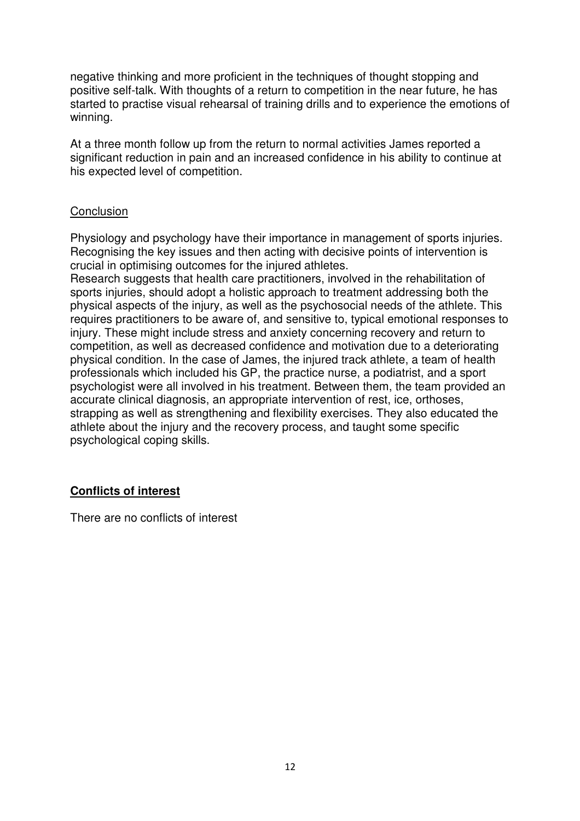negative thinking and more proficient in the techniques of thought stopping and positive self-talk. With thoughts of a return to competition in the near future, he has started to practise visual rehearsal of training drills and to experience the emotions of winning.

At a three month follow up from the return to normal activities James reported a significant reduction in pain and an increased confidence in his ability to continue at his expected level of competition.

#### **Conclusion**

Physiology and psychology have their importance in management of sports injuries. Recognising the key issues and then acting with decisive points of intervention is crucial in optimising outcomes for the injured athletes.

Research suggests that health care practitioners, involved in the rehabilitation of sports injuries, should adopt a holistic approach to treatment addressing both the physical aspects of the injury, as well as the psychosocial needs of the athlete. This requires practitioners to be aware of, and sensitive to, typical emotional responses to injury. These might include stress and anxiety concerning recovery and return to competition, as well as decreased confidence and motivation due to a deteriorating physical condition. In the case of James, the injured track athlete, a team of health professionals which included his GP, the practice nurse, a podiatrist, and a sport psychologist were all involved in his treatment. Between them, the team provided an accurate clinical diagnosis, an appropriate intervention of rest, ice, orthoses, strapping as well as strengthening and flexibility exercises. They also educated the athlete about the injury and the recovery process, and taught some specific psychological coping skills.

## **Conflicts of interest**

There are no conflicts of interest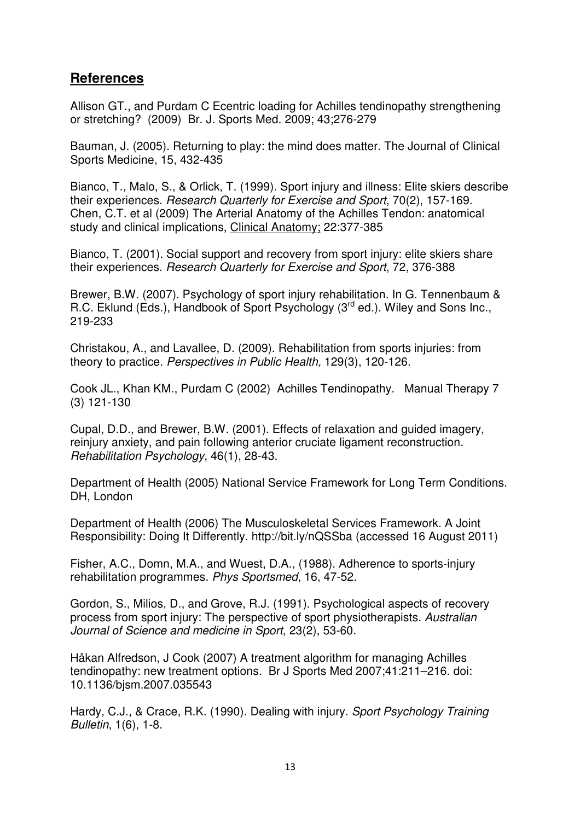# **References**

Allison GT., and Purdam C Ecentric loading for Achilles tendinopathy strengthening or stretching? (2009) Br. J. Sports Med. 2009; 43;276-279

Bauman, J. (2005). Returning to play: the mind does matter. The Journal of Clinical Sports Medicine, 15, 432-435

Bianco, T., Malo, S., & Orlick, T. (1999). Sport injury and illness: Elite skiers describe their experiences. Research Quarterly for Exercise and Sport, 70(2), 157-169. Chen, C.T. et al (2009) The Arterial Anatomy of the Achilles Tendon: anatomical study and clinical implications, Clinical Anatomy; 22:377-385

Bianco, T. (2001). Social support and recovery from sport injury: elite skiers share their experiences. Research Quarterly for Exercise and Sport, 72, 376-388

Brewer, B.W. (2007). Psychology of sport injury rehabilitation. In G. Tennenbaum & R.C. Eklund (Eds.), Handbook of Sport Psychology (3<sup>rd</sup> ed.). Wiley and Sons Inc., 219-233

Christakou, A., and Lavallee, D. (2009). Rehabilitation from sports injuries: from theory to practice. Perspectives in Public Health, 129(3), 120-126.

Cook JL., Khan KM., Purdam C (2002) Achilles Tendinopathy. Manual Therapy 7 (3) 121-130

Cupal, D.D., and Brewer, B.W. (2001). Effects of relaxation and guided imagery, reinjury anxiety, and pain following anterior cruciate ligament reconstruction. Rehabilitation Psychology, 46(1), 28-43.

Department of Health (2005) National Service Framework for Long Term Conditions. DH, London

Department of Health (2006) The Musculoskeletal Services Framework. A Joint Responsibility: Doing It Differently. http://bit.ly/nQSSba (accessed 16 August 2011)

Fisher, A.C., Domn, M.A., and Wuest, D.A., (1988). Adherence to sports-injury rehabilitation programmes. Phys Sportsmed, 16, 47-52.

Gordon, S., Milios, D., and Grove, R.J. (1991). Psychological aspects of recovery process from sport injury: The perspective of sport physiotherapists. Australian Journal of Science and medicine in Sport, 23(2), 53-60.

Håkan Alfredson, J Cook (2007) A treatment algorithm for managing Achilles tendinopathy: new treatment options. Br J Sports Med 2007;41:211–216. doi: 10.1136/bjsm.2007.035543

Hardy, C.J., & Crace, R.K. (1990). Dealing with injury. Sport Psychology Training Bulletin, 1(6), 1-8.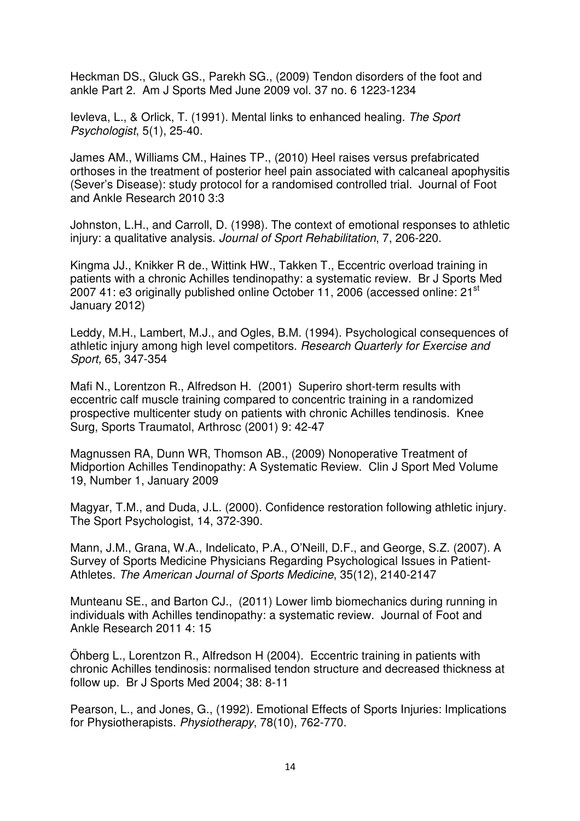Heckman DS., Gluck GS., Parekh SG., (2009) Tendon disorders of the foot and ankle Part 2. Am J Sports Med June 2009 vol. 37 no. 6 1223-1234

Ievleva, L., & Orlick, T. (1991). Mental links to enhanced healing. The Sport Psychologist, 5(1), 25-40.

James AM., Williams CM., Haines TP., (2010) Heel raises versus prefabricated orthoses in the treatment of posterior heel pain associated with calcaneal apophysitis (Sever's Disease): study protocol for a randomised controlled trial. Journal of Foot and Ankle Research 2010 3:3

Johnston, L.H., and Carroll, D. (1998). The context of emotional responses to athletic injury: a qualitative analysis. Journal of Sport Rehabilitation, 7, 206-220.

Kingma JJ., Knikker R de., Wittink HW., Takken T., Eccentric overload training in patients with a chronic Achilles tendinopathy: a systematic review. Br J Sports Med 2007 41: e3 originally published online October 11, 2006 (accessed online: 21<sup>st</sup> January 2012)

Leddy, M.H., Lambert, M.J., and Ogles, B.M. (1994). Psychological consequences of athletic injury among high level competitors. Research Quarterly for Exercise and Sport, 65, 347-354

Mafi N., Lorentzon R., Alfredson H. (2001) Superiro short-term results with eccentric calf muscle training compared to concentric training in a randomized prospective multicenter study on patients with chronic Achilles tendinosis. Knee Surg, Sports Traumatol, Arthrosc (2001) 9: 42-47

Magnussen RA, Dunn WR, Thomson AB., (2009) Nonoperative Treatment of Midportion Achilles Tendinopathy: A Systematic Review. Clin J Sport Med Volume 19, Number 1, January 2009

Magyar, T.M., and Duda, J.L. (2000). Confidence restoration following athletic injury. The Sport Psychologist, 14, 372-390.

Mann, J.M., Grana, W.A., Indelicato, P.A., O'Neill, D.F., and George, S.Z. (2007). A Survey of Sports Medicine Physicians Regarding Psychological Issues in Patient-Athletes. The American Journal of Sports Medicine, 35(12), 2140-2147

Munteanu SE., and Barton CJ., (2011) Lower limb biomechanics during running in individuals with Achilles tendinopathy: a systematic review. Journal of Foot and Ankle Research 2011 4: 15

Öhberg L., Lorentzon R., Alfredson H (2004). Eccentric training in patients with chronic Achilles tendinosis: normalised tendon structure and decreased thickness at follow up. Br J Sports Med 2004; 38: 8-11

Pearson, L., and Jones, G., (1992). Emotional Effects of Sports Injuries: Implications for Physiotherapists. Physiotherapy, 78(10), 762-770.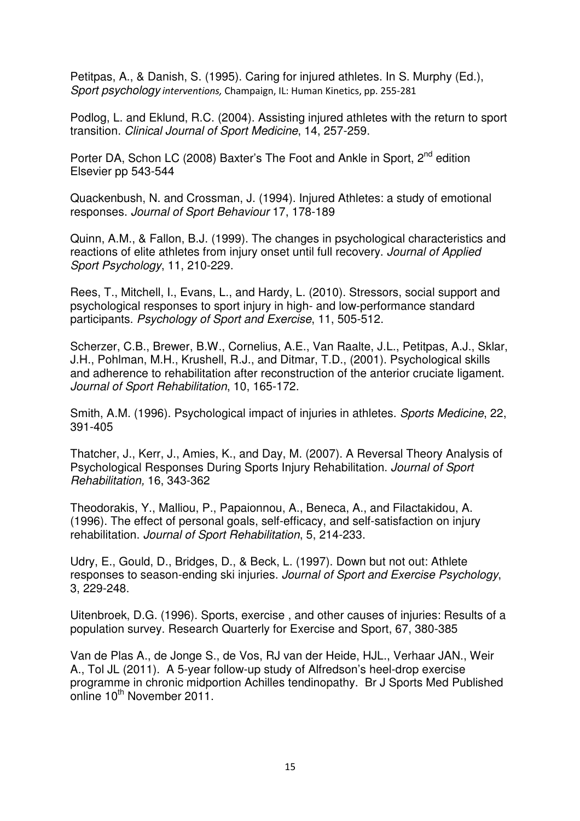Petitpas, A., & Danish, S. (1995). Caring for injured athletes. In S. Murphy (Ed.), Sport psychology interventions, Champaign, IL: Human Kinetics, pp. 255-281

Podlog, L. and Eklund, R.C. (2004). Assisting injured athletes with the return to sport transition. Clinical Journal of Sport Medicine, 14, 257-259.

Porter DA, Schon LC (2008) Baxter's The Foot and Ankle in Sport, 2<sup>nd</sup> edition Elsevier pp 543-544

Quackenbush, N. and Crossman, J. (1994). Injured Athletes: a study of emotional responses. Journal of Sport Behaviour 17, 178-189

Quinn, A.M., & Fallon, B.J. (1999). The changes in psychological characteristics and reactions of elite athletes from injury onset until full recovery. Journal of Applied Sport Psychology, 11, 210-229.

Rees, T., Mitchell, I., Evans, L., and Hardy, L. (2010). Stressors, social support and psychological responses to sport injury in high- and low-performance standard participants. Psychology of Sport and Exercise, 11, 505-512.

Scherzer, C.B., Brewer, B.W., Cornelius, A.E., Van Raalte, J.L., Petitpas, A.J., Sklar, J.H., Pohlman, M.H., Krushell, R.J., and Ditmar, T.D., (2001). Psychological skills and adherence to rehabilitation after reconstruction of the anterior cruciate ligament. Journal of Sport Rehabilitation, 10, 165-172.

Smith, A.M. (1996). Psychological impact of injuries in athletes. Sports Medicine, 22, 391-405

Thatcher, J., Kerr, J., Amies, K., and Day, M. (2007). A Reversal Theory Analysis of Psychological Responses During Sports Injury Rehabilitation. Journal of Sport Rehabilitation, 16, 343-362

Theodorakis, Y., Malliou, P., Papaionnou, A., Beneca, A., and Filactakidou, A. (1996). The effect of personal goals, self-efficacy, and self-satisfaction on injury rehabilitation. Journal of Sport Rehabilitation, 5, 214-233.

Udry, E., Gould, D., Bridges, D., & Beck, L. (1997). Down but not out: Athlete responses to season-ending ski injuries. Journal of Sport and Exercise Psychology, 3, 229-248.

Uitenbroek, D.G. (1996). Sports, exercise , and other causes of injuries: Results of a population survey. Research Quarterly for Exercise and Sport, 67, 380-385

Van de Plas A., de Jonge S., de Vos, RJ van der Heide, HJL., Verhaar JAN., Weir A., Tol JL (2011). A 5-year follow-up study of Alfredson's heel-drop exercise programme in chronic midportion Achilles tendinopathy. Br J Sports Med Published online 10<sup>th</sup> November 2011.